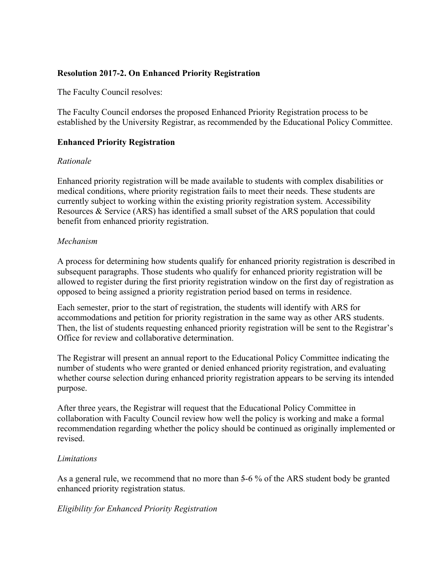# **Resolution 2017-2. On Enhanced Priority Registration**

The Faculty Council resolves:

The Faculty Council endorses the proposed Enhanced Priority Registration process to be established by the University Registrar, as recommended by the Educational Policy Committee.

## **Enhanced Priority Registration**

### *Rationale*

Enhanced priority registration will be made available to students with complex disabilities or medical conditions, where priority registration fails to meet their needs. These students are currently subject to working within the existing priority registration system. Accessibility Resources & Service (ARS) has identified a small subset of the ARS population that could benefit from enhanced priority registration.

### *Mechanism*

A process for determining how students qualify for enhanced priority registration is described in subsequent paragraphs. Those students who qualify for enhanced priority registration will be allowed to register during the first priority registration window on the first day of registration as opposed to being assigned a priority registration period based on terms in residence.

Each semester, prior to the start of registration, the students will identify with ARS for accommodations and petition for priority registration in the same way as other ARS students. Then, the list of students requesting enhanced priority registration will be sent to the Registrar's Office for review and collaborative determination.

The Registrar will present an annual report to the Educational Policy Committee indicating the number of students who were granted or denied enhanced priority registration, and evaluating whether course selection during enhanced priority registration appears to be serving its intended purpose.

After three years, the Registrar will request that the Educational Policy Committee in collaboration with Faculty Council review how well the policy is working and make a formal recommendation regarding whether the policy should be continued as originally implemented or revised.

### *Limitations*

As a general rule, we recommend that no more than 5-6 % of the ARS student body be granted enhanced priority registration status.

### *Eligibility for Enhanced Priority Registration*